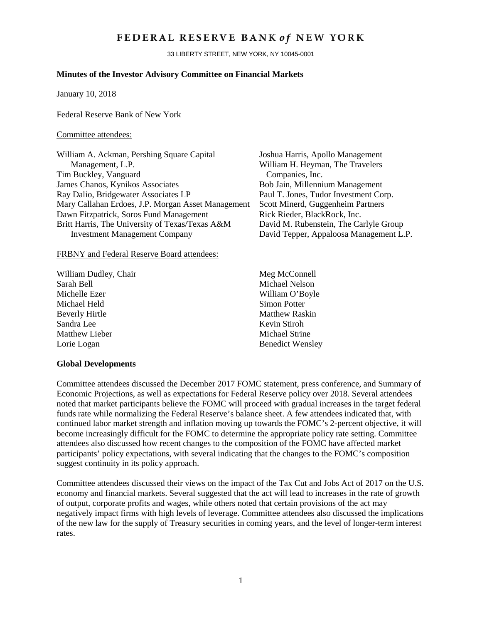# FEDERAL RESERVE BANK of NEW YORK

33 LIBERTY STREET, NEW YORK, NY 10045-0001

## **Minutes of the Investor Advisory Committee on Financial Markets**

January 10, 2018

Federal Reserve Bank of New York

### Committee attendees:

| William A. Ackman, Pershing Square Capital         |
|----------------------------------------------------|
| Management, L.P.                                   |
| Tim Buckley, Vanguard                              |
| James Chanos, Kynikos Associates                   |
| Ray Dalio, Bridgewater Associates LP               |
| Mary Callahan Erdoes, J.P. Morgan Asset Management |
| Dawn Fitzpatrick, Soros Fund Management            |
| Britt Harris, The University of Texas/Texas A&M    |
| <b>Investment Management Company</b>               |

#### FRBNY and Federal Reserve Board attendees:

- William Dudley, Chair Meg McConnell Sarah Bell Michael Nelson Michelle Ezer William O'Boyle Michael Held Simon Potter Beverly Hirtle Matthew Raskin Sandra Lee Kevin Stiroh Matthew Lieber Michael Strine Lorie Logan Benedict Wensley
- Joshua Harris, Apollo Management William H. Heyman, The Travelers Companies, Inc. Bob Jain, Millennium Management Paul T. Jones, Tudor Investment Corp. Scott Minerd, Guggenheim Partners Rick Rieder, BlackRock, Inc. David M. Rubenstein, The Carlyle Group David Tepper, Appaloosa Management L.P.
	-

### **Global Developments**

Committee attendees discussed the December 2017 FOMC statement, press conference, and Summary of Economic Projections, as well as expectations for Federal Reserve policy over 2018. Several attendees noted that market participants believe the FOMC will proceed with gradual increases in the target federal funds rate while normalizing the Federal Reserve's balance sheet. A few attendees indicated that, with continued labor market strength and inflation moving up towards the FOMC's 2-percent objective, it will become increasingly difficult for the FOMC to determine the appropriate policy rate setting. Committee attendees also discussed how recent changes to the composition of the FOMC have affected market participants' policy expectations, with several indicating that the changes to the FOMC's composition suggest continuity in its policy approach.

Committee attendees discussed their views on the impact of the Tax Cut and Jobs Act of 2017 on the U.S. economy and financial markets. Several suggested that the act will lead to increases in the rate of growth of output, corporate profits and wages, while others noted that certain provisions of the act may negatively impact firms with high levels of leverage. Committee attendees also discussed the implications of the new law for the supply of Treasury securities in coming years, and the level of longer-term interest rates.